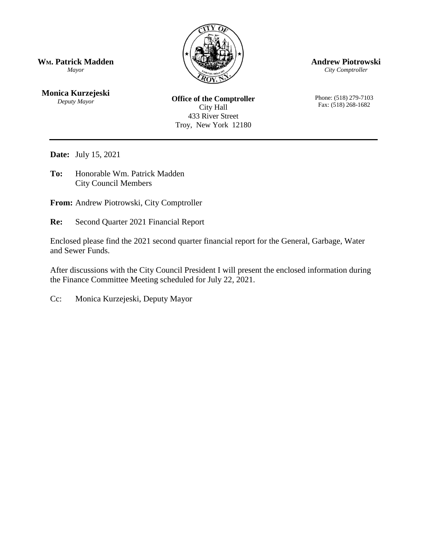

**Andrew Piotrowski**

*City Comptroller*

Phone: (518) 279-7103 Fax: (518) 268-1682

**WM. Patrick Madden** *Mayor*

**Monica Kurzejeski** *Deputy Mayor*

**Office of the Comptroller** City Hall 433 River Street Troy, New York 12180

**Date:** July 15, 2021

**To:** Honorable Wm. Patrick Madden City Council Members

**From:** Andrew Piotrowski, City Comptroller

**Re:** Second Quarter 2021 Financial Report

Enclosed please find the 2021 second quarter financial report for the General, Garbage, Water and Sewer Funds.

After discussions with the City Council President I will present the enclosed information during the Finance Committee Meeting scheduled for July 22, 2021.

Cc: Monica Kurzejeski, Deputy Mayor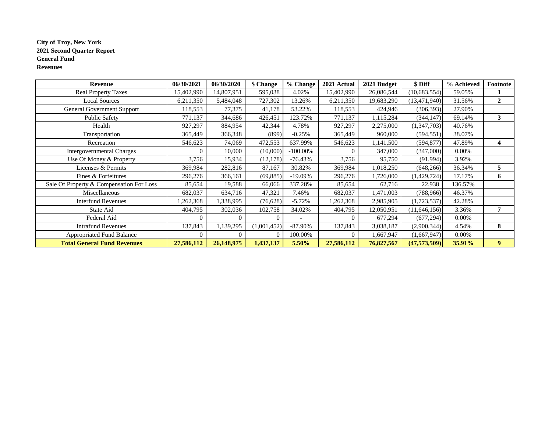#### **City of Troy, New York 2021 Second Quarter Report General Fund Revenues**

| Revenue                                  | 06/30/2021 | 06/30/2020 | \$ Change   | % Change    | 2021 Actual | 2021 Budget | \$ Diff        | % Achieved | Footnote       |
|------------------------------------------|------------|------------|-------------|-------------|-------------|-------------|----------------|------------|----------------|
| <b>Real Property Taxes</b>               | 15,402,990 | 14,807,951 | 595,038     | 4.02%       | 15,402,990  | 26,086,544  | (10,683,554)   | 59.05%     |                |
| <b>Local Sources</b>                     | 6,211,350  | 5,484,048  | 727,302     | 13.26%      | 6,211,350   | 19,683,290  | (13, 471, 940) | 31.56%     | $\mathbf{2}$   |
| <b>General Government Support</b>        | 118,553    | 77,375     | 41,178      | 53.22%      | 118,553     | 424,946     | (306, 393)     | 27.90%     |                |
| <b>Public Safety</b>                     | 771,137    | 344,686    | 426,451     | 123.72%     | 771,137     | 1,115,284   | (344, 147)     | 69.14%     | 3              |
| Health                                   | 927,297    | 884,954    | 42,344      | 4.78%       | 927,297     | 2,275,000   | (1,347,703)    | 40.76%     |                |
| Transportation                           | 365,449    | 366,348    | (899)       | $-0.25%$    | 365,449     | 960,000     | (594, 551)     | 38.07%     |                |
| Recreation                               | 546,623    | 74,069     | 472,553     | 637.99%     | 546,623     | 1,141,500   | (594, 877)     | 47.89%     | 4              |
| <b>Intergovernmental Charges</b>         |            | 10,000     | (10,000)    | $-100.00\%$ | $\Omega$    | 347,000     | (347,000)      | 0.00%      |                |
| Use Of Money & Property                  | 3,756      | 15,934     | (12, 178)   | $-76.43%$   | 3,756       | 95,750      | (91, 994)      | 3.92%      |                |
| Licenses & Permits                       | 369,984    | 282,816    | 87,167      | 30.82%      | 369,984     | 1,018,250   | (648, 266)     | 36.34%     | 5              |
| Fines & Forfeitures                      | 296,276    | 366,161    | (69, 885)   | $-19.09%$   | 296,276     | 1,726,000   | (1,429,724)    | 17.17%     | 6              |
| Sale Of Property & Compensation For Loss | 85,654     | 19,588     | 66,066      | 337.28%     | 85,654      | 62,716      | 22,938         | 136.57%    |                |
| Miscellaneous                            | 682,037    | 634,716    | 47,321      | 7.46%       | 682,037     | 471,003     | (788,966)      | 46.37%     |                |
| <b>Interfund Revenues</b>                | ,262,368   | 1,338,995  | (76, 628)   | $-5.72%$    | ,262,368    | 2,985,905   | (1,723,537)    | 42.28%     |                |
| State Aid                                | 404,795    | 302,036    | 102,758     | 34.02%      | 404,795     | 12,050,951  | (11, 646, 156) | 3.36%      | 7              |
| Federal Aid                              | $\Omega$   |            |             |             |             | 677,294     | (677, 294)     | 0.00%      |                |
| <b>Intrafund Revenues</b>                | 137,843    | 1,139,295  | (1,001,452) | $-87.90\%$  | 137,843     | 3,038,187   | (2,900,344)    | 4.54%      | 8              |
| <b>Appropriated Fund Balance</b>         | $\Omega$   |            |             | 100.00%     | $\Omega$    | 1,667,947   | (1,667,947)    | 0.00%      |                |
| <b>Total General Fund Revenues</b>       | 27,586,112 | 26,148,975 | 1,437,137   | $5.50\%$    | 27,586,112  | 76,827,567  | (47, 573, 509) | 35.91%     | 9 <sup>°</sup> |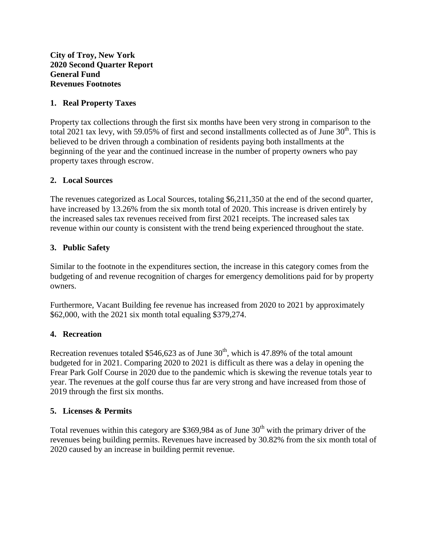**City of Troy, New York 2020 Second Quarter Report General Fund Revenues Footnotes**

## **1. Real Property Taxes**

Property tax collections through the first six months have been very strong in comparison to the total 2021 tax levy, with 59.05% of first and second installments collected as of June  $30<sup>th</sup>$ . This is believed to be driven through a combination of residents paying both installments at the beginning of the year and the continued increase in the number of property owners who pay property taxes through escrow.

## **2. Local Sources**

The revenues categorized as Local Sources, totaling \$6,211,350 at the end of the second quarter, have increased by 13.26% from the six month total of 2020. This increase is driven entirely by the increased sales tax revenues received from first 2021 receipts. The increased sales tax revenue within our county is consistent with the trend being experienced throughout the state.

## **3. Public Safety**

Similar to the footnote in the expenditures section, the increase in this category comes from the budgeting of and revenue recognition of charges for emergency demolitions paid for by property owners.

Furthermore, Vacant Building fee revenue has increased from 2020 to 2021 by approximately \$62,000, with the 2021 six month total equaling \$379,274.

## **4. Recreation**

Recreation revenues totaled \$546,623 as of June  $30<sup>th</sup>$ , which is 47.89% of the total amount budgeted for in 2021. Comparing 2020 to 2021 is difficult as there was a delay in opening the Frear Park Golf Course in 2020 due to the pandemic which is skewing the revenue totals year to year. The revenues at the golf course thus far are very strong and have increased from those of 2019 through the first six months.

#### **5. Licenses & Permits**

Total revenues within this category are \$369,984 as of June  $30<sup>th</sup>$  with the primary driver of the revenues being building permits. Revenues have increased by 30.82% from the six month total of 2020 caused by an increase in building permit revenue.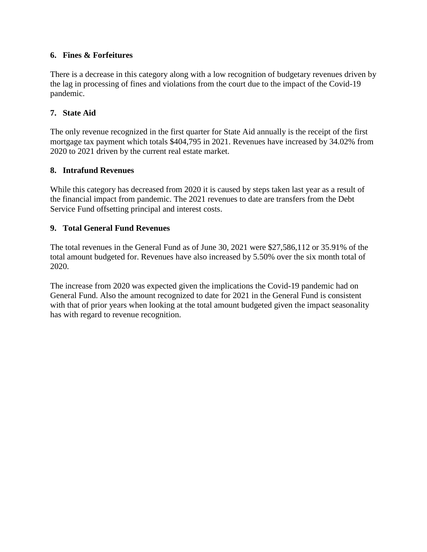## **6. Fines & Forfeitures**

There is a decrease in this category along with a low recognition of budgetary revenues driven by the lag in processing of fines and violations from the court due to the impact of the Covid-19 pandemic.

# **7. State Aid**

The only revenue recognized in the first quarter for State Aid annually is the receipt of the first mortgage tax payment which totals \$404,795 in 2021. Revenues have increased by 34.02% from 2020 to 2021 driven by the current real estate market.

# **8. Intrafund Revenues**

While this category has decreased from 2020 it is caused by steps taken last year as a result of the financial impact from pandemic. The 2021 revenues to date are transfers from the Debt Service Fund offsetting principal and interest costs.

# **9. Total General Fund Revenues**

The total revenues in the General Fund as of June 30, 2021 were \$27,586,112 or 35.91% of the total amount budgeted for. Revenues have also increased by 5.50% over the six month total of 2020.

The increase from 2020 was expected given the implications the Covid-19 pandemic had on General Fund. Also the amount recognized to date for 2021 in the General Fund is consistent with that of prior years when looking at the total amount budgeted given the impact seasonality has with regard to revenue recognition.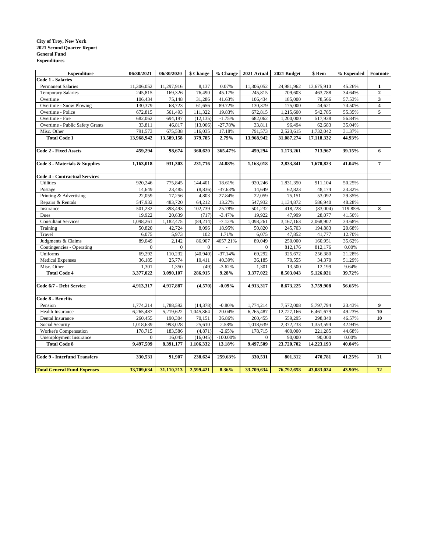#### **City of Troy, New York 2021 Second Quarter Report General Fund Expenditures**

| <b>Expenditure</b>                   | 06/30/2021       | 06/30/2020 | \$ Change    | % Change    | 2021 Actual      | 2021 Budget | \$ Rem     | % Expended | Footnote                |
|--------------------------------------|------------------|------------|--------------|-------------|------------------|-------------|------------|------------|-------------------------|
| <b>Code 1 - Salaries</b>             |                  |            |              |             |                  |             |            |            |                         |
| <b>Permanent Salaries</b>            | 11,306,052       | 11,297,916 | 8,137        | 0.07%       | 11,306,052       | 24,981,962  | 13,675,910 | 45.26%     | 1                       |
| <b>Temporary Salaries</b>            | 245,815          | 169,326    | 76,490       | 45.17%      | 245,815          | 709,603     | 463,788    | 34.64%     | $\mathbf 2$             |
| Overtime                             | 106,434          | 75,148     | 31,286       | 41.63%      | 106,434          | 185,000     | 78,566     | 57.53%     | 3                       |
| Overtime - Snow Plowing              | 130,379          | 68,723     | 61,656       | 89.72%      | 130,379          | 175,000     | 44,621     | 74.50%     | $\overline{\mathbf{4}}$ |
| Overtime - Police                    | 672,815          | 561,493    | 111,322      | 19.83%      | 672,815          | 1,215,600   | 542,785    | 55.35%     | 5                       |
| Overtime - Fire                      | 682,062          | 694,197    | (12, 135)    | $-1.75%$    | 682,062          | 1,200,000   | 517,938    | 56.84%     |                         |
| Overtime - Public Safety Grants      | 33,811           | 46,817     | (13,006)     | $-27.78%$   | 33,811           | 96,494      | 62,683     | 35.04%     |                         |
| Misc. Other                          | 791,573          | 675,538    | 116,035      | 17.18%      | 791,573          | 2,523,615   | 1,732,042  | 31.37%     |                         |
| <b>Total Code 1</b>                  | 13,968,942       | 13,589,158 | 379,785      | 2.79%       | 13,968,942       | 31,087,274  | 17,118,332 | 44.93%     |                         |
|                                      |                  |            |              |             |                  |             |            |            |                         |
| <b>Code 2 - Fixed Assets</b>         | 459,294          | 98,674     | 360,620      | 365.47%     | 459,294          | 1,173,261   | 713,967    | 39.15%     | 6                       |
|                                      |                  |            |              |             |                  |             |            |            |                         |
| Code 3 - Materials & Supplies        | 1,163,018        | 931,303    | 231,716      | 24.88%      | 1,163,018        | 2,833,841   | 1,670,823  | 41.04%     | 7                       |
| <b>Code 4 - Contractual Services</b> |                  |            |              |             |                  |             |            |            |                         |
| <b>Utilities</b>                     | 920,246          | 775,845    | 144,401      | 18.61%      | 920,246          | 1,831,350   | 911,104    | 50.25%     |                         |
| Postage                              | 14,649           | 23,485     | (8, 836)     | $-37.63%$   | 14,649           | 62,823      | 48,174     | 23.32%     |                         |
| Printing & Advertising               | 22,059           | 17,256     | 4,803        | 27.84%      | 22,059           | 75,151      | 53,092     | 29.35%     |                         |
| Repairs & Rentals                    | 547,932          | 483,720    | 64,212       | 13.27%      | 547,932          | 1,134,872   | 586,940    | 48.28%     |                         |
| Insurance                            | 501,232          | 398,493    | 102,739      | 25.78%      | 501,232          | 418,228     | (83,004)   | 119.85%    | 8                       |
| Dues                                 | 19,922           | 20,639     | (717)        | $-3.47%$    | 19,922           | 47,999      | 28,077     | 41.50%     |                         |
| <b>Consultant Services</b>           | 1,098,261        | 1,182,475  | (84, 214)    | $-7.12%$    | 1,098,261        | 3,167,163   | 2,068,902  | 34.68%     |                         |
| Training                             | 50,820           | 42,724     | 8,096        | 18.95%      | 50,820           | 245,703     | 194,883    | 20.68%     |                         |
| Travel                               | 6,075            | 5,973      | 102          | 1.71%       | 6,075            | 47,852      | 41,777     | 12.70%     |                         |
| Judgments & Claims                   | 89,049           | 2,142      | 86,907       | 4057.21%    | 89,049           | 250,000     | 160,951    | 35.62%     |                         |
| Contingencies - Operating            | $\mathbf{0}$     | $\Omega$   | $\mathbf{0}$ |             | $\mathbf{0}$     | 812,176     | 812,176    | 0.00%      |                         |
| Uniforms                             | 69,292           | 110,232    | (40, 940)    | $-37.14%$   | 69,292           | 325,672     | 256,380    | 21.28%     |                         |
| <b>Medical Expenses</b>              | 36,185           | 25,774     | 10,411       | 40.39%      | 36,185           | 70,555      | 34,370     | 51.29%     |                         |
| Misc. Other                          | 1,301            | 1,350      | (49)         | $-3.62%$    | 1,301            | 13,500      | 12,199     | 9.64%      |                         |
| <b>Total Code 4</b>                  | 3,377,022        | 3,090,107  | 286,915      | 9.28%       | 3,377,022        | 8,503,043   | 5,126,021  | 39.72%     |                         |
| Code 6/7 - Debt Service              |                  |            |              | $-0.09%$    |                  |             |            | 56.65%     |                         |
|                                      | 4,913,317        | 4,917,887  | (4,570)      |             | 4,913,317        | 8,673,225   | 3,759,908  |            |                         |
| Code 8 - Benefits                    |                  |            |              |             |                  |             |            |            |                         |
| Pension                              | 1,774,214        | 1,788,592  | (14, 378)    | $-0.80%$    | 1,774,214        | 7,572,008   | 5,797,794  | 23.43%     | 9                       |
| Health Insurance                     | 6,265,487        | 5,219,622  | 1,045,864    | 20.04%      | 6,265,487        | 12,727,166  | 6,461,679  | 49.23%     | 10                      |
| Dental Insurance                     | 260,455          | 190,304    | 70,151       | 36.86%      | 260,455          | 559,295     | 298,840    | 46.57%     | 10                      |
| Social Security                      | 1,018,639        | 993,028    | 25,610       | 2.58%       | 1,018,639        | 2,372,233   | 1,353,594  | 42.94%     |                         |
| Worker's Compensation                | 178,715          | 183,586    | (4, 871)     | $-2.65%$    | 178,715          | 400,000     | 221,285    | 44.68%     |                         |
| Unemployment Insurance               | $\boldsymbol{0}$ | 16,045     | (16, 045)    | $-100.00\%$ | $\boldsymbol{0}$ | 90,000      | 90,000     | 0.00%      |                         |
| <b>Total Code 8</b>                  | 9,497,509        | 8,391,177  | 1,106,332    | 13.18%      | 9,497,509        | 23,720,702  | 14,223,193 | 40.04%     |                         |
| <b>Code 9 - Interfund Transfers</b>  | 330,531          | 91,907     | 238,624      | 259.63%     | 330,531          | 801,312     | 470,781    | 41.25%     | 11                      |
|                                      |                  |            |              |             |                  |             |            |            |                         |
| <b>Total General Fund Expenses</b>   | 33,709,634       | 31,110,213 | 2,599,421    | 8.36%       | 33,709,634       | 76,792,658  | 43,083,024 | 43.90%     | 12                      |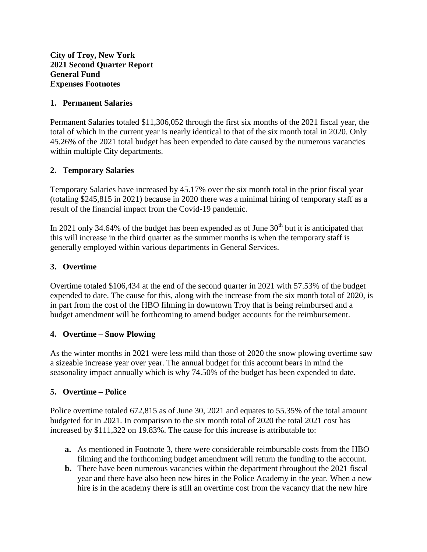**City of Troy, New York 2021 Second Quarter Report General Fund Expenses Footnotes**

#### **1. Permanent Salaries**

Permanent Salaries totaled \$11,306,052 through the first six months of the 2021 fiscal year, the total of which in the current year is nearly identical to that of the six month total in 2020. Only 45.26% of the 2021 total budget has been expended to date caused by the numerous vacancies within multiple City departments.

#### **2. Temporary Salaries**

Temporary Salaries have increased by 45.17% over the six month total in the prior fiscal year (totaling \$245,815 in 2021) because in 2020 there was a minimal hiring of temporary staff as a result of the financial impact from the Covid-19 pandemic.

In 2021 only 34.64% of the budget has been expended as of June  $30<sup>th</sup>$  but it is anticipated that this will increase in the third quarter as the summer months is when the temporary staff is generally employed within various departments in General Services.

## **3. Overtime**

Overtime totaled \$106,434 at the end of the second quarter in 2021 with 57.53% of the budget expended to date. The cause for this, along with the increase from the six month total of 2020, is in part from the cost of the HBO filming in downtown Troy that is being reimbursed and a budget amendment will be forthcoming to amend budget accounts for the reimbursement.

#### **4. Overtime – Snow Plowing**

As the winter months in 2021 were less mild than those of 2020 the snow plowing overtime saw a sizeable increase year over year. The annual budget for this account bears in mind the seasonality impact annually which is why 74.50% of the budget has been expended to date.

## **5. Overtime – Police**

Police overtime totaled 672,815 as of June 30, 2021 and equates to 55.35% of the total amount budgeted for in 2021. In comparison to the six month total of 2020 the total 2021 cost has increased by \$111,322 on 19.83%. The cause for this increase is attributable to:

- **a.** As mentioned in Footnote 3, there were considerable reimbursable costs from the HBO filming and the forthcoming budget amendment will return the funding to the account.
- **b.** There have been numerous vacancies within the department throughout the 2021 fiscal year and there have also been new hires in the Police Academy in the year. When a new hire is in the academy there is still an overtime cost from the vacancy that the new hire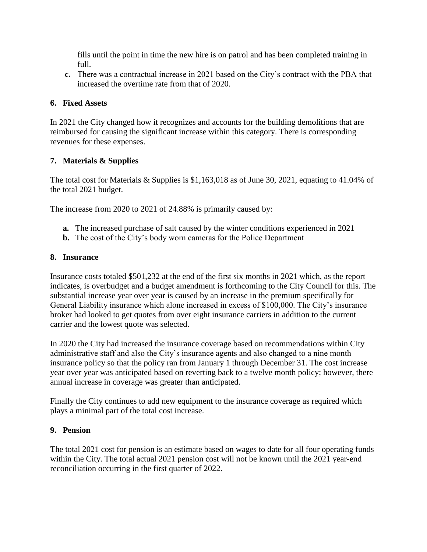fills until the point in time the new hire is on patrol and has been completed training in full.

**c.** There was a contractual increase in 2021 based on the City's contract with the PBA that increased the overtime rate from that of 2020.

## **6. Fixed Assets**

In 2021 the City changed how it recognizes and accounts for the building demolitions that are reimbursed for causing the significant increase within this category. There is corresponding revenues for these expenses.

## **7. Materials & Supplies**

The total cost for Materials & Supplies is \$1,163,018 as of June 30, 2021, equating to 41.04% of the total 2021 budget.

The increase from 2020 to 2021 of 24.88% is primarily caused by:

- **a.** The increased purchase of salt caused by the winter conditions experienced in 2021
- **b.** The cost of the City's body worn cameras for the Police Department

#### **8. Insurance**

Insurance costs totaled \$501,232 at the end of the first six months in 2021 which, as the report indicates, is overbudget and a budget amendment is forthcoming to the City Council for this. The substantial increase year over year is caused by an increase in the premium specifically for General Liability insurance which alone increased in excess of \$100,000. The City's insurance broker had looked to get quotes from over eight insurance carriers in addition to the current carrier and the lowest quote was selected.

In 2020 the City had increased the insurance coverage based on recommendations within City administrative staff and also the City's insurance agents and also changed to a nine month insurance policy so that the policy ran from January 1 through December 31. The cost increase year over year was anticipated based on reverting back to a twelve month policy; however, there annual increase in coverage was greater than anticipated.

Finally the City continues to add new equipment to the insurance coverage as required which plays a minimal part of the total cost increase.

#### **9. Pension**

The total 2021 cost for pension is an estimate based on wages to date for all four operating funds within the City. The total actual 2021 pension cost will not be known until the 2021 year-end reconciliation occurring in the first quarter of 2022.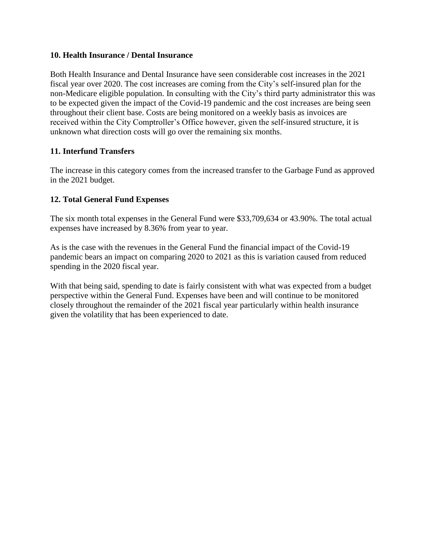#### **10. Health Insurance / Dental Insurance**

Both Health Insurance and Dental Insurance have seen considerable cost increases in the 2021 fiscal year over 2020. The cost increases are coming from the City's self-insured plan for the non-Medicare eligible population. In consulting with the City's third party administrator this was to be expected given the impact of the Covid-19 pandemic and the cost increases are being seen throughout their client base. Costs are being monitored on a weekly basis as invoices are received within the City Comptroller's Office however, given the self-insured structure, it is unknown what direction costs will go over the remaining six months.

## **11. Interfund Transfers**

The increase in this category comes from the increased transfer to the Garbage Fund as approved in the 2021 budget.

## **12. Total General Fund Expenses**

The six month total expenses in the General Fund were \$33,709,634 or 43.90%. The total actual expenses have increased by 8.36% from year to year.

As is the case with the revenues in the General Fund the financial impact of the Covid-19 pandemic bears an impact on comparing 2020 to 2021 as this is variation caused from reduced spending in the 2020 fiscal year.

With that being said, spending to date is fairly consistent with what was expected from a budget perspective within the General Fund. Expenses have been and will continue to be monitored closely throughout the remainder of the 2021 fiscal year particularly within health insurance given the volatility that has been experienced to date.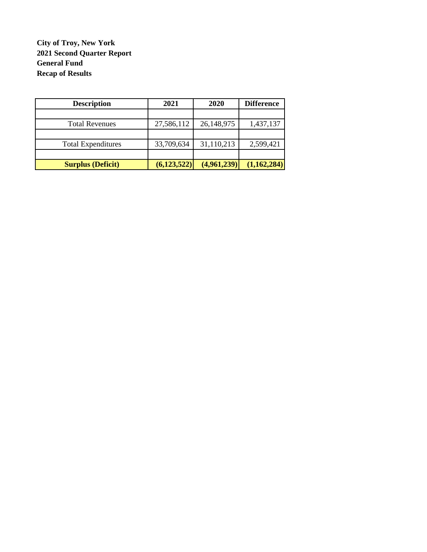# **City of Troy, New York 2021 Second Quarter Report General Fund Recap of Results**

| <b>Description</b>        | 2021          | 2020        | <b>Difference</b> |
|---------------------------|---------------|-------------|-------------------|
|                           |               |             |                   |
| <b>Total Revenues</b>     | 27,586,112    | 26,148,975  | 1,437,137         |
|                           |               |             |                   |
| <b>Total Expenditures</b> | 33,709,634    | 31,110,213  | 2,599,421         |
|                           |               |             |                   |
| <b>Surplus (Deficit)</b>  | (6, 123, 522) | (4,961,239) | (1,162,284)       |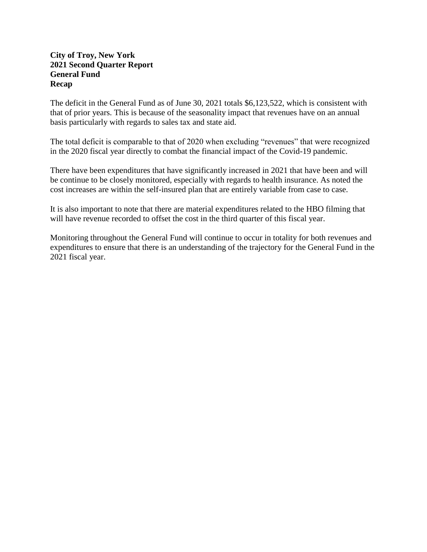#### **City of Troy, New York 2021 Second Quarter Report General Fund Recap**

The deficit in the General Fund as of June 30, 2021 totals \$6,123,522, which is consistent with that of prior years. This is because of the seasonality impact that revenues have on an annual basis particularly with regards to sales tax and state aid.

The total deficit is comparable to that of 2020 when excluding "revenues" that were recognized in the 2020 fiscal year directly to combat the financial impact of the Covid-19 pandemic.

There have been expenditures that have significantly increased in 2021 that have been and will be continue to be closely monitored, especially with regards to health insurance. As noted the cost increases are within the self-insured plan that are entirely variable from case to case.

It is also important to note that there are material expenditures related to the HBO filming that will have revenue recorded to offset the cost in the third quarter of this fiscal year.

Monitoring throughout the General Fund will continue to occur in totality for both revenues and expenditures to ensure that there is an understanding of the trajectory for the General Fund in the 2021 fiscal year.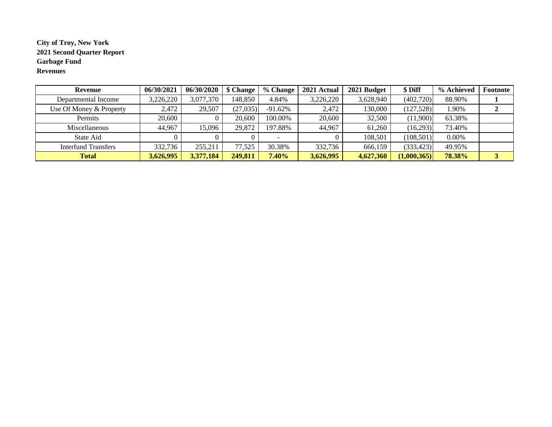#### **City of Troy, New York 2021 Second Quarter Report Garbage Fund Revenues**

| <b>Revenue</b>          | 06/30/2021 | 06/30/2020 | \$ Change | % Change  | 2021 Actual | 2021 Budget | \$ Diff     | % Achieved | Footnote |
|-------------------------|------------|------------|-----------|-----------|-------------|-------------|-------------|------------|----------|
| Departmental Income     | 3,226,220  | 3,077,370  | 148.850   | 4.84%     | 3,226,220   | 3,628,940   | (402,720)   | 88.90%     |          |
| Use Of Money & Property | 2.472      | 29,507     | (27,035)  | $-91.62%$ | 2,472       | 130.000     | (127, 528)  | .90%       |          |
| Permits                 | 20,600     |            | 20,600    | 100.00%   | 20,600      | 32,500      | (11,900)    | 63.38%     |          |
| Miscellaneous           | 44.967     | 15,096     | 29,872    | 197.88%   | 44,967      | 61.260      | (16,293)    | 73.40%     |          |
| State Aid               |            |            |           |           |             | 108,501     | (108, 501)  | 0.00%      |          |
| Interfund Transfers     | 332,736    | 255,211    | 77,525    | 30.38%    | 332,736     | 666,159     | (333, 423)  | 49.95%     |          |
| <b>Total</b>            | 3,626,995  | 3,377,184  | 249,811   | 7.40%     | 3,626,995   | 4,627,360   | (1,000,365) | 78.38%     |          |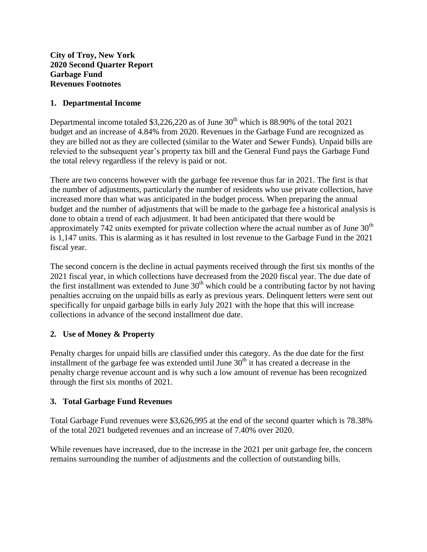**City of Troy, New York 2020 Second Quarter Report Garbage Fund Revenues Footnotes**

#### **1. Departmental Income**

Departmental income totaled  $$3,226,220$  as of June  $30<sup>th</sup>$  which is 88.90% of the total 2021 budget and an increase of 4.84% from 2020. Revenues in the Garbage Fund are recognized as they are billed not as they are collected (similar to the Water and Sewer Funds). Unpaid bills are relevied to the subsequent year's property tax bill and the General Fund pays the Garbage Fund the total relevy regardless if the relevy is paid or not.

There are two concerns however with the garbage fee revenue thus far in 2021. The first is that the number of adjustments, particularly the number of residents who use private collection, have increased more than what was anticipated in the budget process. When preparing the annual budget and the number of adjustments that will be made to the garbage fee a historical analysis is done to obtain a trend of each adjustment. It had been anticipated that there would be approximately 742 units exempted for private collection where the actual number as of June  $30<sup>th</sup>$ is 1,147 units. This is alarming as it has resulted in lost revenue to the Garbage Fund in the 2021 fiscal year.

The second concern is the decline in actual payments received through the first six months of the 2021 fiscal year, in which collections have decreased from the 2020 fiscal year. The due date of the first installment was extended to June  $30<sup>th</sup>$  which could be a contributing factor by not having penalties accruing on the unpaid bills as early as previous years. Delinquent letters were sent out specifically for unpaid garbage bills in early July 2021 with the hope that this will increase collections in advance of the second installment due date.

## **2. Use of Money & Property**

Penalty charges for unpaid bills are classified under this category. As the due date for the first installment of the garbage fee was extended until June  $30<sup>th</sup>$  it has created a decrease in the penalty charge revenue account and is why such a low amount of revenue has been recognized through the first six months of 2021.

## **3. Total Garbage Fund Revenues**

Total Garbage Fund revenues were \$3,626,995 at the end of the second quarter which is 78.38% of the total 2021 budgeted revenues and an increase of 7.40% over 2020.

While revenues have increased, due to the increase in the 2021 per unit garbage fee, the concern remains surrounding the number of adjustments and the collection of outstanding bills.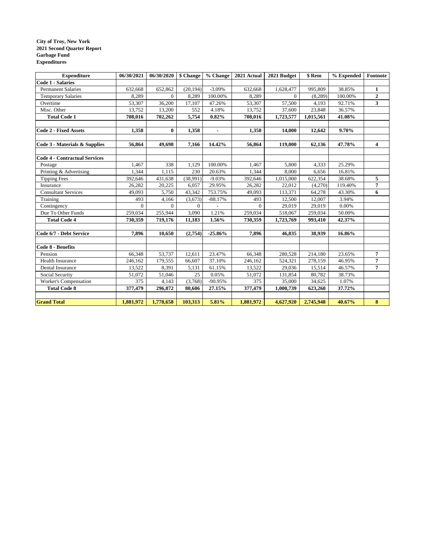#### **City of Troy, New York 2021 Second Quarter Report Garbage Fund Expenditures**

| <b>Expenditure</b>                   | 06/30/2021 | 06/30/2020     | \$ Change | % Change       | 2021 Actual  | 2021 Budget | \$ Rem    | % Expended | $\bf Footnote$          |
|--------------------------------------|------------|----------------|-----------|----------------|--------------|-------------|-----------|------------|-------------------------|
| <b>Code 1 - Salaries</b>             |            |                |           |                |              |             |           |            |                         |
| <b>Permanent Salaries</b>            | 632,668    | 652,862        | (20, 194) | $-3.09%$       | 632,668      | 1,628,477   | 995,809   | 38.85%     | 1                       |
| <b>Temporary Salaries</b>            | 8.289      | $\overline{0}$ | 8,289     | 100.00%        | 8,289        | $\Omega$    | (8, 289)  | 100.00%    | $\mathbf{2}$            |
| Overtime                             | 53,307     | 36,200         | 17,107    | 47.26%         | 53,307       | 57,500      | 4,193     | 92.71%     | $\overline{\mathbf{3}}$ |
| Misc. Other                          | 13,752     | 13,200         | 552       | 4.18%          | 13,752       | 37,600      | 23,848    | 36.57%     |                         |
| <b>Total Code 1</b>                  | 708,016    | 702,262        | 5,754     | 0.82%          | 708,016      | 1,723,577   | 1,015,561 | 41.08%     |                         |
|                                      |            |                |           |                |              |             |           |            |                         |
| <b>Code 2 - Fixed Assets</b>         | 1,358      | $\mathbf{0}$   | 1,358     | $\blacksquare$ | 1,358        | 14,000      | 12,642    | 9.70%      |                         |
|                                      |            |                |           |                |              |             |           |            |                         |
| Code 3 - Materials & Supplies        | 56,864     | 49,698         | 7,166     | 14.42%         | 56,864       | 119,000     | 62,136    | 47.78%     | 4                       |
|                                      |            |                |           |                |              |             |           |            |                         |
| <b>Code 4 - Contractual Services</b> |            |                |           |                |              |             |           |            |                         |
| Postage                              | 1,467      | 338            | 1,129     | 100.00%        | 1,467        | 5,800       | 4,333     | 25.29%     |                         |
| Printing & Advertising               | 1,344      | 1,115          | 230       | 20.63%         | 1,344        | 8,000       | 6,656     | 16.81%     |                         |
| <b>Tipping Fees</b>                  | 392,646    | 431,638        | (38,991)  | $-9.03%$       | 392,646      | 1,015,000   | 622,354   | 38.68%     | 5                       |
| Insurance                            | 26,282     | 20,225         | 6,057     | 29.95%         | 26.282       | 22,012      | (4,270)   | 119.40%    | 7                       |
| <b>Consultant Services</b>           | 49,093     | 5,750          | 43,342    | 753.75%        | 49,093       | 113,371     | 64,278    | 43.30%     | 6                       |
| Training                             | 493        | 4,166          | (3,673)   | $-88.17%$      | 493          | 12,500      | 12,007    | 3.94%      |                         |
| Contingency                          | $\Omega$   | $\Omega$       | $\Omega$  |                | $\mathbf{0}$ | 29,019      | 29,019    | 0.00%      |                         |
| Due To Other Funds                   | 259,034    | 255,944        | 3,090     | 1.21%          | 259,034      | 518,067     | 259,034   | 50.00%     |                         |
| <b>Total Code 4</b>                  | 730,359    | 719,176        | 11,183    | 1.56%          | 730,359      | 1,723,769   | 993,410   | 42.37%     |                         |
|                                      |            |                |           |                |              |             |           |            |                         |
| Code 6/7 - Debt Service              | 7.896      | 10.650         | (2,754)   | $-25.86%$      | 7.896        | 46.835      | 38.939    | 16.86%     |                         |
| Code 8 - Benefits                    |            |                |           |                |              |             |           |            |                         |
| Pension                              |            |                |           | 23.47%         |              |             |           |            |                         |
|                                      | 66,348     | 53,737         | 12,611    |                | 66,348       | 280,528     | 214,180   | 23.65%     | 7<br>7                  |
| Health Insurance                     | 246,162    | 179,555        | 66,607    | 37.10%         | 246,162      | 524,321     | 278,159   | 46.95%     | $\overline{7}$          |
| Dental Insurance                     | 13,522     | 8,391          | 5,131     | 61.15%         | 13,522       | 29,036      | 15,514    | 46.57%     |                         |
| Social Security                      | 51,072     | 51,046         | 25        | 0.05%          | 51,072       | 131,854     | 80,782    | 38.73%     |                         |
| Worker's Compensation                | 375        | 4,143          | (3,768)   | -90.95%        | 375          | 35,000      | 34,625    | 1.07%      |                         |
| <b>Total Code 8</b>                  | 377,479    | 296,872        | 80,606    | 27.15%         | 377,479      | 1,000,739   | 623,260   | 37.72%     |                         |
| <b>Grand Total</b>                   | 1,881,972  | 1,778,658      | 103,313   | 5.81%          | 1,881,972    | 4,627,920   | 2,745,948 | 40.67%     | 8                       |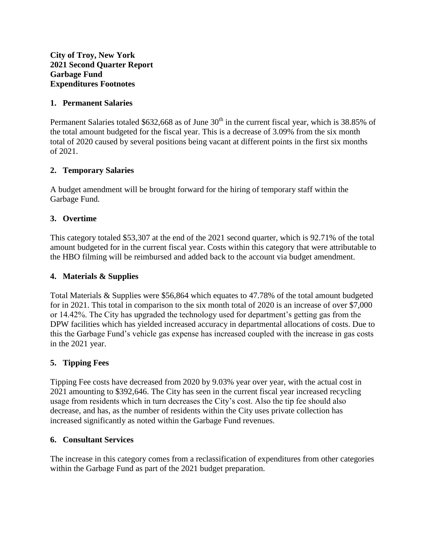**City of Troy, New York 2021 Second Quarter Report Garbage Fund Expenditures Footnotes**

#### **1. Permanent Salaries**

Permanent Salaries totaled \$632,668 as of June  $30<sup>th</sup>$  in the current fiscal year, which is 38.85% of the total amount budgeted for the fiscal year. This is a decrease of 3.09% from the six month total of 2020 caused by several positions being vacant at different points in the first six months of 2021.

## **2. Temporary Salaries**

A budget amendment will be brought forward for the hiring of temporary staff within the Garbage Fund.

#### **3. Overtime**

This category totaled \$53,307 at the end of the 2021 second quarter, which is 92.71% of the total amount budgeted for in the current fiscal year. Costs within this category that were attributable to the HBO filming will be reimbursed and added back to the account via budget amendment.

#### **4. Materials & Supplies**

Total Materials & Supplies were \$56,864 which equates to 47.78% of the total amount budgeted for in 2021. This total in comparison to the six month total of 2020 is an increase of over \$7,000 or 14.42%. The City has upgraded the technology used for department's getting gas from the DPW facilities which has yielded increased accuracy in departmental allocations of costs. Due to this the Garbage Fund's vehicle gas expense has increased coupled with the increase in gas costs in the 2021 year.

#### **5. Tipping Fees**

Tipping Fee costs have decreased from 2020 by 9.03% year over year, with the actual cost in 2021 amounting to \$392,646. The City has seen in the current fiscal year increased recycling usage from residents which in turn decreases the City's cost. Also the tip fee should also decrease, and has, as the number of residents within the City uses private collection has increased significantly as noted within the Garbage Fund revenues.

#### **6. Consultant Services**

The increase in this category comes from a reclassification of expenditures from other categories within the Garbage Fund as part of the 2021 budget preparation.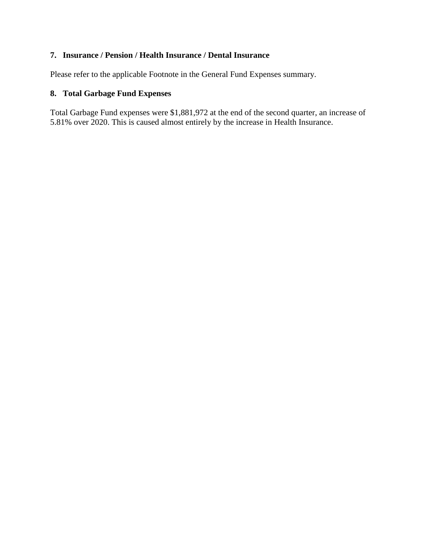## **7. Insurance / Pension / Health Insurance / Dental Insurance**

Please refer to the applicable Footnote in the General Fund Expenses summary.

# **8. Total Garbage Fund Expenses**

Total Garbage Fund expenses were \$1,881,972 at the end of the second quarter, an increase of 5.81% over 2020. This is caused almost entirely by the increase in Health Insurance.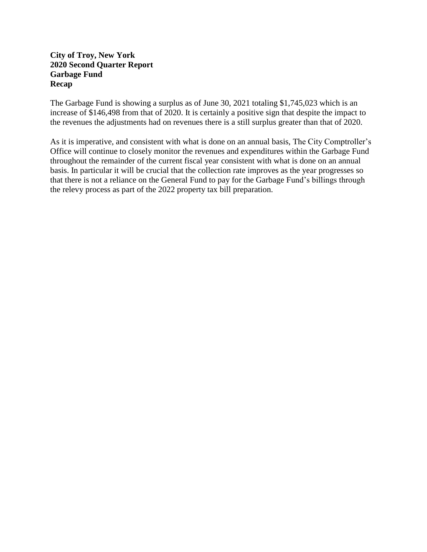#### **City of Troy, New York 2020 Second Quarter Report Garbage Fund Recap**

The Garbage Fund is showing a surplus as of June 30, 2021 totaling \$1,745,023 which is an increase of \$146,498 from that of 2020. It is certainly a positive sign that despite the impact to the revenues the adjustments had on revenues there is a still surplus greater than that of 2020.

As it is imperative, and consistent with what is done on an annual basis, The City Comptroller's Office will continue to closely monitor the revenues and expenditures within the Garbage Fund throughout the remainder of the current fiscal year consistent with what is done on an annual basis. In particular it will be crucial that the collection rate improves as the year progresses so that there is not a reliance on the General Fund to pay for the Garbage Fund's billings through the relevy process as part of the 2022 property tax bill preparation.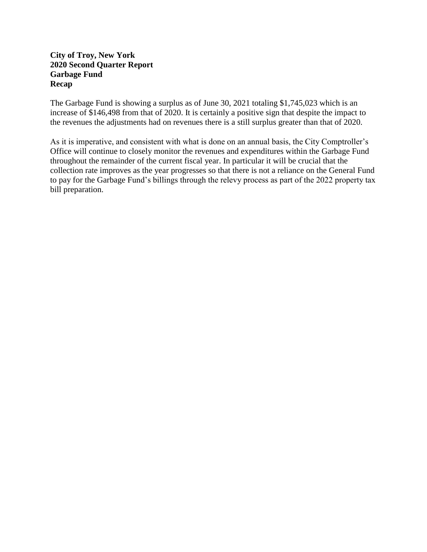#### **City of Troy, New York 2020 Second Quarter Report Garbage Fund Recap**

The Garbage Fund is showing a surplus as of June 30, 2021 totaling \$1,745,023 which is an increase of \$146,498 from that of 2020. It is certainly a positive sign that despite the impact to the revenues the adjustments had on revenues there is a still surplus greater than that of 2020.

As it is imperative, and consistent with what is done on an annual basis, the City Comptroller's Office will continue to closely monitor the revenues and expenditures within the Garbage Fund throughout the remainder of the current fiscal year. In particular it will be crucial that the collection rate improves as the year progresses so that there is not a reliance on the General Fund to pay for the Garbage Fund's billings through the relevy process as part of the 2022 property tax bill preparation.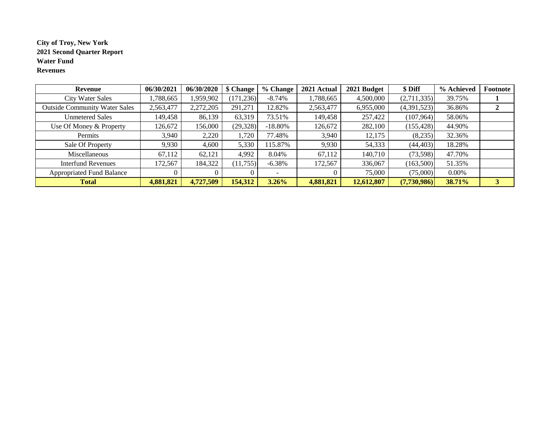#### **City of Troy, New York 2021 Second Quarter Report Water Fund Revenues**

| Revenue                              | 06/30/2021 | 06/30/2020 | \$ Change  | % Change   | 2021 Actual | 2021 Budget | \$ Diff     | % Achieved | Footnote |
|--------------------------------------|------------|------------|------------|------------|-------------|-------------|-------------|------------|----------|
| <b>City Water Sales</b>              | ,788,665   | 1,959,902  | (171, 236) | $-8.74\%$  | 1,788,665   | 4,500,000   | (2,711,335) | 39.75%     |          |
| <b>Outside Community Water Sales</b> | 2,563,477  | 2,272,205  | 291,271    | 12.82%     | 2,563,477   | 6,955,000   | (4,391,523) | 36.86%     | 2        |
| <b>Unmetered Sales</b>               | 149,458    | 86,139     | 63,319     | 73.51%     | 149,458     | 257,422     | (107,964)   | 58.06%     |          |
| Use Of Money & Property              | 126,672    | 156,000    | (29, 328)  | $-18.80\%$ | 126,672     | 282,100     | (155, 428)  | 44.90%     |          |
| Permits                              | 3,940      | 2,220      | 1,720      | 77.48%     | 3,940       | 12,175      | (8,235)     | 32.36%     |          |
| Sale Of Property                     | 9,930      | 4,600      | 5,330      | 15.87%     | 9,930       | 54,333      | (44, 403)   | 18.28%     |          |
| Miscellaneous                        | 67,112     | 62,121     | 4,992      | 8.04%      | 67,112      | 140,710     | (73,598)    | 47.70%     |          |
| <b>Interfund Revenues</b>            | 172,567    | 184,322    | (11, 755)  | $-6.38%$   | 172,567     | 336,067     | (163,500)   | 51.35%     |          |
| <b>Appropriated Fund Balance</b>     |            |            |            |            |             | 75,000      | (75,000)    | $0.00\%$   |          |
| <b>Total</b>                         | 4,881,821  | 4,727,509  | 154,312    | 3.26%      | 4,881,821   | 12,612,807  | (7,730,986) | 38.71%     | 3        |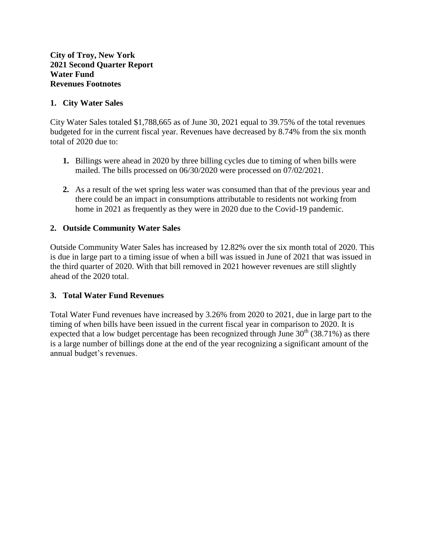#### **1. City Water Sales**

City Water Sales totaled \$1,788,665 as of June 30, 2021 equal to 39.75% of the total revenues budgeted for in the current fiscal year. Revenues have decreased by 8.74% from the six month total of 2020 due to:

- **1.** Billings were ahead in 2020 by three billing cycles due to timing of when bills were mailed. The bills processed on 06/30/2020 were processed on 07/02/2021.
- **2.** As a result of the wet spring less water was consumed than that of the previous year and there could be an impact in consumptions attributable to residents not working from home in 2021 as frequently as they were in 2020 due to the Covid-19 pandemic.

#### **2. Outside Community Water Sales**

Outside Community Water Sales has increased by 12.82% over the six month total of 2020. This is due in large part to a timing issue of when a bill was issued in June of 2021 that was issued in the third quarter of 2020. With that bill removed in 2021 however revenues are still slightly ahead of the 2020 total.

## **3. Total Water Fund Revenues**

Total Water Fund revenues have increased by 3.26% from 2020 to 2021, due in large part to the timing of when bills have been issued in the current fiscal year in comparison to 2020. It is expected that a low budget percentage has been recognized through June  $30<sup>th</sup>$  (38.71%) as there is a large number of billings done at the end of the year recognizing a significant amount of the annual budget's revenues.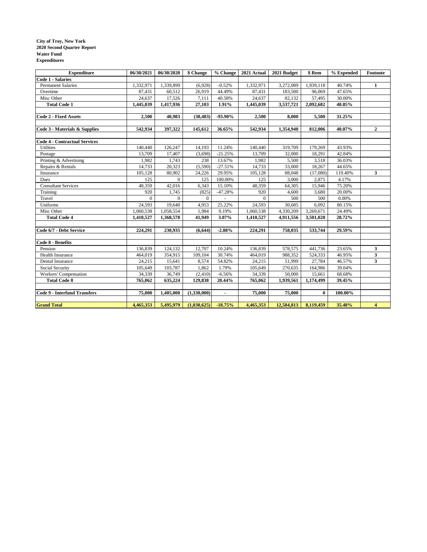#### **City of Troy, New York 2020 Second Quarter Report Water Fund Expenditures**

| <b>Expenditure</b>                   | 06/30/2021   | 06/30/2020   | \$ Change      | % Change                 | 2021 Actual | 2021 Budget | \$ Rem       | % Expended | Footnote       |
|--------------------------------------|--------------|--------------|----------------|--------------------------|-------------|-------------|--------------|------------|----------------|
| <b>Code 1 - Salaries</b>             |              |              |                |                          |             |             |              |            |                |
| <b>Permanent Salaries</b>            | 1,332,971    | 1,339,899    | (6,928)        | $-0.52%$                 | 1,332,971   | 3,272,089   | 1,939,118    | 40.74%     | 1              |
| Overtime                             | 87,431       | 60,512       | 26,919         | 44.49%                   | 87,431      | 183,500     | 96,069       | 47.65%     |                |
| Misc Other                           | 24,637       | 17,526       | 7,111          | 40.58%                   | 24,637      | 82,132      | 57,495       | 30.00%     |                |
| <b>Total Code 1</b>                  | 1,445,039    | 1,417,936    | 27,103         | 1.91%                    | 1,445,039   | 3,537,721   | 2,092,682    | 40.85%     |                |
|                                      |              |              |                |                          |             |             |              |            |                |
| Code 2 - Fixed Assets                | 2,500        | 40,983       | (38, 483)      | $-93.90\%$               | 2,500       | 8,000       | 5,500        | 31.25%     |                |
|                                      |              |              |                |                          |             |             |              |            |                |
| Code 3 - Materials & Supplies        | 542,934      | 397,322      | 145,612        | 36.65%                   | 542,934     | 1,354,940   | 812,006      | 40.07%     | $\overline{2}$ |
|                                      |              |              |                |                          |             |             |              |            |                |
| <b>Code 4 - Contractual Services</b> |              |              |                |                          |             |             |              |            |                |
| <b>Utilities</b>                     | 140,440      | 126,247      | 14,193         | 11.24%                   | 140,440     | 319,709     | 179,269      | 43.93%     |                |
| Postage                              | 13,709       | 17,407       | (3,698)        | $-21.25%$                | 13,709      | 32,000      | 18,291       | 42.84%     |                |
| Printing & Advertising               | 1,982        | 1,743        | 238            | 13.67%                   | 1,982       | 5,500       | 3,518        | 36.03%     |                |
| Repairs & Rentals                    | 14,733       | 20,323       | (5,590)        | $-27.51%$                | 14,733      | 33,000      | 18,267       | 44.65%     |                |
| Insurance                            | 105,128      | 80,902       | 24,226         | 29.95%                   | 105,128     | 88,048      | (17,080)     | 119.40%    | 3              |
| Dues                                 | 125          | $\mathbf{0}$ | 125            | 100.00%                  | 125         | 3,000       | 2,875        | 4.17%      |                |
| <b>Consultant Services</b>           | 48,359       | 42,016       | 6,343          | 15.10%                   | 48,359      | 64,305      | 15,946       | 75.20%     |                |
| Training                             | 920          | 1,745        | (825)          | $-47.28%$                | 920         | 4,600       | 3,680        | 20.00%     |                |
| Travel                               | $\mathbf{0}$ | $\mathbf{0}$ | $\overline{0}$ | $\overline{\phantom{a}}$ | $\Omega$    | 500         | 500          | 0.00%      |                |
| Uniforms                             | 24,593       | 19,640       | 4,953          | 25.22%                   | 24,593      | 30,685      | 6,092        | 80.15%     |                |
| Misc Other                           | 1,060,538    | 1,058,554    | 1.984          | 0.19%                    | 1,060,538   | 4,330,209   | 3,269,671    | 24.49%     |                |
| <b>Total Code 4</b>                  | 1,410,527    | 1,368,578    | 41,949         | 3.07%                    | 1,410,527   | 4,911,556   | 3,501,028    | 28.72%     |                |
|                                      |              |              |                |                          |             |             |              |            |                |
| Code 6/7 - Debt Service              | 224,291      | 230,935      | (6, 644)       | $-2.88%$                 | 224,291     | 758,035     | 533,744      | 29.59%     |                |
|                                      |              |              |                |                          |             |             |              |            |                |
| Code 8 - Benefits                    |              |              |                |                          |             |             |              |            |                |
| Pension                              | 136,839      | 124,132      | 12,707         | 10.24%                   | 136,839     | 578,575     | 441,736      | 23.65%     | 3              |
| <b>Health Insurance</b>              | 464,019      | 354,915      | 109,104        | 30.74%                   | 464,019     | 988,352     | 524,333      | 46.95%     | 3              |
| Dental Insurance                     | 24,215       | 15,641       | 8,574          | 54.82%                   | 24,215      | 51,999      | 27,784       | 46.57%     | 3              |
| Social Security                      | 105,649      | 103,787      | 1,862          | 1.79%                    | 105,649     | 270,635     | 164,986      | 39.04%     |                |
| Workers' Compensation                | 34,339       | 36,749       | (2, 410)       | $-6.56%$                 | 34,339      | 50,000      | 15,661       | 68.68%     |                |
| <b>Total Code 8</b>                  | 765,062      | 635,224      | 129,838        | 20.44%                   | 765,062     | 1,939,561   | 1,174,499    | 39.45%     |                |
|                                      |              |              |                |                          |             |             |              |            |                |
| <b>Code 9 - Interfund Transfers</b>  | 75,000       | 1,405,000    | (1,330,000)    | $\blacksquare$           | 75,000      | 75,000      | $\mathbf{0}$ | 100.00%    |                |
|                                      |              |              |                |                          |             |             |              |            |                |
| <b>Grand Total</b>                   | 4,465,353    | 5,495,979    | (1,030,625)    | $-18.75%$                | 4,465,353   | 12,584,813  | 8,119,459    | 35.48%     | 4              |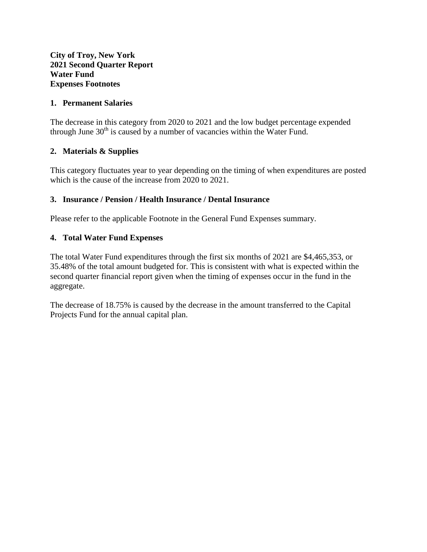#### **1. Permanent Salaries**

The decrease in this category from 2020 to 2021 and the low budget percentage expended through June  $30<sup>th</sup>$  is caused by a number of vacancies within the Water Fund.

# **2. Materials & Supplies**

This category fluctuates year to year depending on the timing of when expenditures are posted which is the cause of the increase from 2020 to 2021.

## **3. Insurance / Pension / Health Insurance / Dental Insurance**

Please refer to the applicable Footnote in the General Fund Expenses summary.

## **4. Total Water Fund Expenses**

The total Water Fund expenditures through the first six months of 2021 are \$4,465,353, or 35.48% of the total amount budgeted for. This is consistent with what is expected within the second quarter financial report given when the timing of expenses occur in the fund in the aggregate.

The decrease of 18.75% is caused by the decrease in the amount transferred to the Capital Projects Fund for the annual capital plan.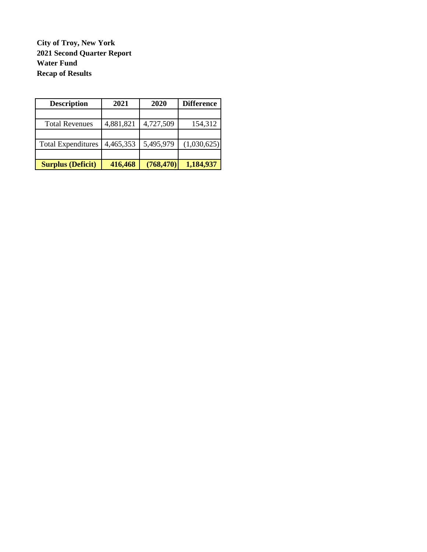**City of Troy, New York 2021 Second Quarter Report Water Fund Recap of Results**

| <b>Description</b>        | 2021      | 2020       | <b>Difference</b> |
|---------------------------|-----------|------------|-------------------|
|                           |           |            |                   |
| <b>Total Revenues</b>     | 4,881,821 | 4,727,509  | 154,312           |
|                           |           |            |                   |
| <b>Total Expenditures</b> | 4,465,353 | 5,495,979  | (1,030,625)       |
|                           |           |            |                   |
| <b>Surplus (Deficit)</b>  | 416,468   | (768, 470) | 1,184,937         |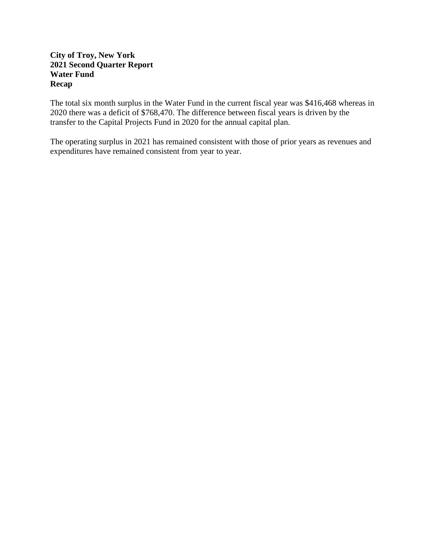## **City of Troy, New York 2021 Second Quarter Report Water Fund Recap**

The total six month surplus in the Water Fund in the current fiscal year was \$416,468 whereas in 2020 there was a deficit of \$768,470. The difference between fiscal years is driven by the transfer to the Capital Projects Fund in 2020 for the annual capital plan.

The operating surplus in 2021 has remained consistent with those of prior years as revenues and expenditures have remained consistent from year to year.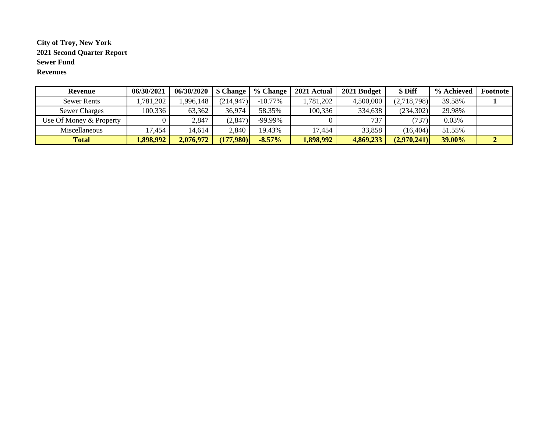#### **City of Troy, New York 2021 Second Quarter Report Sewer Fund Revenues**

| Revenue                 | 06/30/2021 | 06/30/2020 | \$ Change  | % Change   | 2021 Actual | 2021 Budget | \$Diff      | % Achieved    | Footnote |
|-------------------------|------------|------------|------------|------------|-------------|-------------|-------------|---------------|----------|
| <b>Sewer Rents</b>      | .781,202   | 1,996,148  | (214, 947) | $-10.77\%$ | ,781,202    | 4,500,000   | (2,718,798) | 39.58%        |          |
| <b>Sewer Charges</b>    | 100,336    | 63,362     | 36,974     | 58.35%     | 100,336     | 334,638     | (234,302)   | 29.98%        |          |
| Use Of Money & Property |            | 2,847      | (2,847)    | -99.99%    |             | 737         | (737)       | 0.03%         |          |
| Miscellaneous           | 17,454     | 14,614     | 2,840      | 19.43%     | 17,454      | 33,858      | (16, 404)   | 51.55%        |          |
| <b>Total</b>            | 1,898,992  | 2,076,972  | (177,980)  | $-8.57\%$  | .,898,992   | 4,869,233   | (2,970,241) | <b>39.00%</b> |          |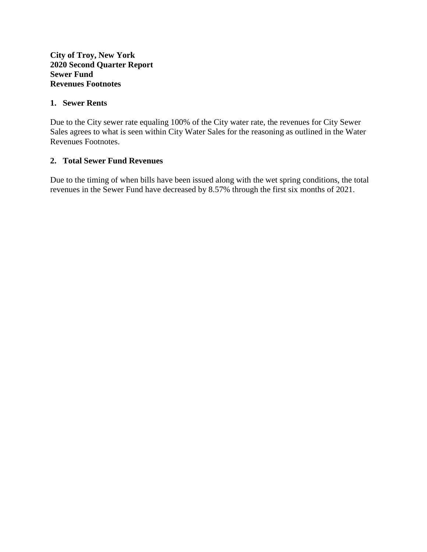#### **1. Sewer Rents**

Due to the City sewer rate equaling 100% of the City water rate, the revenues for City Sewer Sales agrees to what is seen within City Water Sales for the reasoning as outlined in the Water Revenues Footnotes.

## **2. Total Sewer Fund Revenues**

Due to the timing of when bills have been issued along with the wet spring conditions, the total revenues in the Sewer Fund have decreased by 8.57% through the first six months of 2021.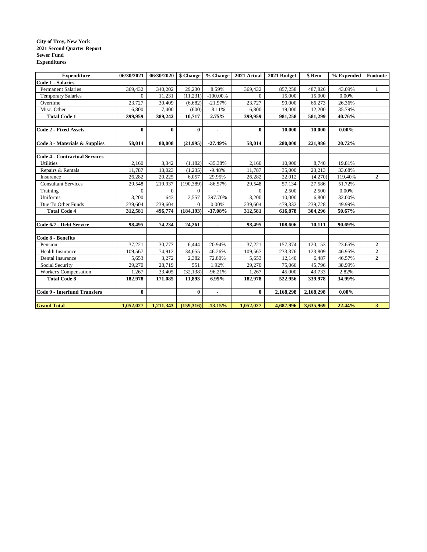#### **City of Troy, New York 2021 Second Quarter Report Sewer Fund Expenditures**

| <b>Expenditure</b>                   | 06/30/2021 | 06/30/2020   \$ Change |            | % Change       | 2021 Actual | 2021 Budget | \$ Rem    | % Expended | Footnote         |
|--------------------------------------|------------|------------------------|------------|----------------|-------------|-------------|-----------|------------|------------------|
| <b>Code 1 - Salaries</b>             |            |                        |            |                |             |             |           |            |                  |
| <b>Permanent Salaries</b>            | 369,432    | 340,202                | 29,230     | 8.59%          | 369,432     | 857,258     | 487,826   | 43.09%     | $\mathbf{1}$     |
| <b>Temporary Salaries</b>            | $\Omega$   | 11,231                 | (11, 231)  | $-100.00\%$    | $\Omega$    | 15,000      | 15,000    | 0.00%      |                  |
| Overtime                             | 23,727     | 30,409                 | (6,682)    | $-21.97%$      | 23,727      | 90,000      | 66,273    | 26.36%     |                  |
| Misc. Other                          | 6,800      | 7,400                  | (600)      | $-8.11%$       | 6,800       | 19,000      | 12,200    | 35.79%     |                  |
| <b>Total Code 1</b>                  | 399,959    | 389,242                | 10,717     | 2.75%          | 399,959     | 981,258     | 581,299   | 40.76%     |                  |
|                                      |            |                        |            |                |             |             |           |            |                  |
| <b>Code 2 - Fixed Assets</b>         | $\bf{0}$   | $\bf{0}$               | $\bf{0}$   | $\blacksquare$ | $\bf{0}$    | 10,000      | 10,000    | $0.00\%$   |                  |
|                                      |            |                        |            |                |             |             |           |            |                  |
| Code 3 - Materials & Supplies        | 58,014     | 80,008                 | (21,995)   | $-27.49%$      | 58,014      | 280,000     | 221,986   | 20.72%     |                  |
|                                      |            |                        |            |                |             |             |           |            |                  |
| <b>Code 4 - Contractual Services</b> |            |                        |            |                |             |             |           |            |                  |
| <b>Utilities</b>                     | 2.160      | 3,342                  | (1,182)    | $-35.38%$      | 2.160       | 10,900      | 8,740     | 19.81%     |                  |
| Repairs & Rentals                    | 11,787     | 13,023                 | (1,235)    | $-9.48%$       | 11,787      | 35,000      | 23,213    | 33.68%     |                  |
| Insurance                            | 26,282     | 20,225                 | 6,057      | 29.95%         | 26,282      | 22,012      | (4,270)   | 119.40%    | $\overline{2}$   |
| <b>Consultant Services</b>           | 29,548     | 219,937                | (190, 389) | $-86.57%$      | 29,548      | 57,134      | 27,586    | 51.72%     |                  |
| Training                             | $\Omega$   | $\Omega$               | $\Omega$   |                | $\Omega$    | 2,500       | 2,500     | 0.00%      |                  |
| Uniforms                             | 3,200      | 643                    | 2,557      | 397.70%        | 3,200       | 10,000      | 6,800     | 32.00%     |                  |
| Due To Other Funds                   | 239,604    | 239,604                | $\Omega$   | 0.00%          | 239,604     | 479,332     | 239,728   | 49.99%     |                  |
| <b>Total Code 4</b>                  | 312,581    | 496,774                | (184, 193) | $-37.08%$      | 312,581     | 616,878     | 304,296   | 50.67%     |                  |
|                                      |            |                        |            |                |             |             |           |            |                  |
| Code 6/7 - Debt Service              | 98,495     | 74,234                 | 24,261     | $\blacksquare$ | 98,495      | 108,606     | 10,111    | 90.69%     |                  |
|                                      |            |                        |            |                |             |             |           |            |                  |
| Code 8 - Benefits                    |            |                        |            |                |             |             |           |            |                  |
| Pension                              | 37,221     | 30,777                 | 6,444      | 20.94%         | 37,221      | 157,374     | 120,153   | 23.65%     | $\boldsymbol{2}$ |
| Health Insurance                     | 109,567    | 74,912                 | 34,655     | 46.26%         | 109,567     | 233,376     | 123,809   | 46.95%     | $\overline{2}$   |
| Dental Insurance                     | 5,653      | 3,272                  | 2,382      | 72.80%         | 5,653       | 12.140      | 6,487     | 46.57%     | $\overline{2}$   |
| Social Security                      | 29,270     | 28,719                 | 551        | 1.92%          | 29,270      | 75,066      | 45,796    | 38.99%     |                  |
| Worker's Compensation                | 1,267      | 33,405                 | (32, 138)  | $-96.21%$      | 1,267       | 45,000      | 43,733    | 2.82%      |                  |
| <b>Total Code 8</b>                  | 182,978    | 171,085                | 11,893     | 6.95%          | 182,978     | 522,956     | 339,978   | 34.99%     |                  |
|                                      |            |                        |            |                |             |             |           |            |                  |
| <b>Code 9 - Interfund Transfers</b>  | $\bf{0}$   |                        | $\bf{0}$   | $\blacksquare$ | $\bf{0}$    | 2,168,298   | 2,168,298 | $0.00\%$   |                  |
|                                      |            |                        |            |                |             |             |           |            |                  |
| <b>Grand Total</b>                   | 1,052,027  | 1,211,343              | (159,316)  | $-13.15%$      | 1,052,027   | 4,687,996   | 3,635,969 | 22.44%     | 3 <sup>1</sup>   |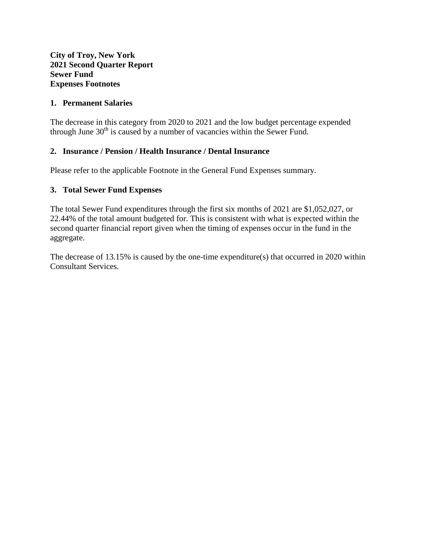#### **City of Troy, New York 2021 Second Quarter Report Sewer Fund Expenses Footnotes**

#### **1. Permanent Salaries**

The decrease in this category from 2020 to 2021 and the low budget percentage expended through June  $30<sup>th</sup>$  is caused by a number of vacancies within the Sewer Fund.

## **2. Insurance / Pension / Health Insurance / Dental Insurance**

Please refer to the applicable Footnote in the General Fund Expenses summary.

#### **3. Total Sewer Fund Expenses**

The total Sewer Fund expenditures through the first six months of 2021 are \$1,052,027, or 22.44% of the total amount budgeted for. This is consistent with what is expected within the second quarter financial report given when the timing of expenses occur in the fund in the aggregate.

The decrease of 13.15% is caused by the one-time expenditure(s) that occurred in 2020 within Consultant Services.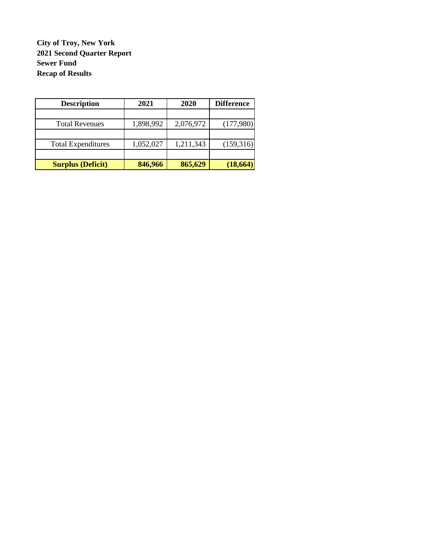**City of Troy, New York 2021 Second Quarter Report Sewer Fund Recap of Results**

| <b>Description</b>        | 2021      | 2020      | <b>Difference</b> |
|---------------------------|-----------|-----------|-------------------|
|                           |           |           |                   |
| <b>Total Revenues</b>     | 1,898,992 | 2,076,972 | (177,980)         |
|                           |           |           |                   |
| <b>Total Expenditures</b> | 1,052,027 | 1,211,343 | (159,316)         |
|                           |           |           |                   |
| <b>Surplus (Deficit)</b>  | 846,966   | 865,629   | (18, 664)         |